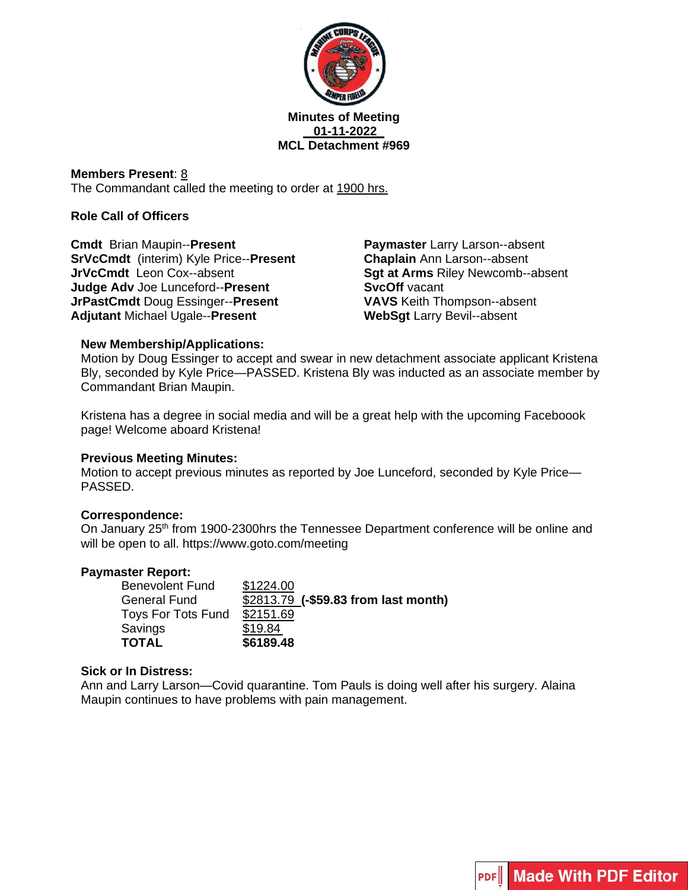

#### **Minutes of Meeting 01-11-2022 MCL Detachment #969**

**Members Present**: 8 The Commandant called the meeting to order at 1900 hrs.

## **Role Call of Officers**

**Cmdt** Brian Maupin--**Present SrVcCmdt** (interim) Kyle Price--**Present JrVcCmdt** Leon Cox--absent **Judge Adv** Joe Lunceford--**Present JrPastCmdt** Doug Essinger--**Present Adjutant** Michael Ugale--**Present**

**Paymaster** Larry Larson--absent **Chaplain** Ann Larson--absent **Sgt at Arms** Riley Newcomb--absent **SvcOff** vacant **VAVS** Keith Thompson--absent **WebSgt** Larry Bevil--absent

## **New Membership/Applications:**

Motion by Doug Essinger to accept and swear in new detachment associate applicant Kristena Bly, seconded by Kyle Price—PASSED. Kristena Bly was inducted as an associate member by Commandant Brian Maupin.

Kristena has a degree in social media and will be a great help with the upcoming Faceboook page! Welcome aboard Kristena!

#### **Previous Meeting Minutes:**

Motion to accept previous minutes as reported by Joe Lunceford, seconded by Kyle Price— PASSED.

#### **Correspondence:**

On January 25<sup>th</sup> from 1900-2300hrs the Tennessee Department conference will be online and will be open to all. https://www.goto.com/meeting

#### **Paymaster Report:**

| <b>Benevolent Fund</b>    | \$1224.00                            |
|---------------------------|--------------------------------------|
| <b>General Fund</b>       | \$2813.79 (-\$59.83 from last month) |
| <b>Toys For Tots Fund</b> | \$2151.69                            |
| Savings                   | \$19.84                              |
| <b>TOTAL</b>              | \$6189.48                            |

#### **Sick or In Distress:**

Ann and Larry Larson—Covid quarantine. Tom Pauls is doing well after his surgery. Alaina Maupin continues to have problems with pain management.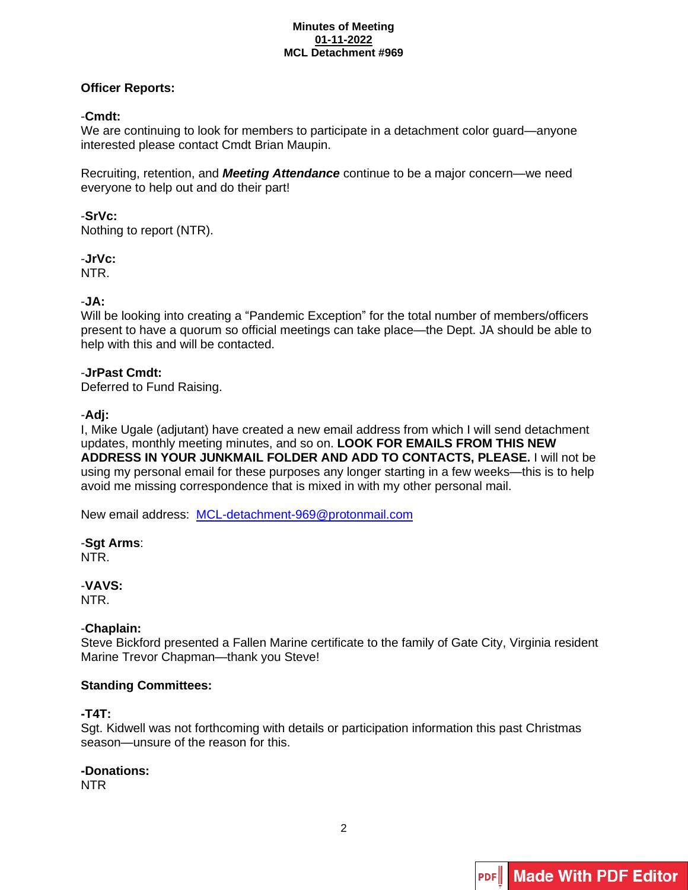#### **Minutes of Meeting 01-11-2022 MCL Detachment #969**

## **Officer Reports:**

## -**Cmdt:**

We are continuing to look for members to participate in a detachment color guard—anyone interested please contact Cmdt Brian Maupin.

Recruiting, retention, and *Meeting Attendance* continue to be a major concern—we need everyone to help out and do their part!

## -**SrVc:**

Nothing to report (NTR).

-**JrVc:** NTR.

## -**JA:**

Will be looking into creating a "Pandemic Exception" for the total number of members/officers present to have a quorum so official meetings can take place—the Dept. JA should be able to help with this and will be contacted.

## -**JrPast Cmdt:**

Deferred to Fund Raising.

## -**Adj:**

I, Mike Ugale (adjutant) have created a new email address from which I will send detachment updates, monthly meeting minutes, and so on. **LOOK FOR EMAILS FROM THIS NEW ADDRESS IN YOUR JUNKMAIL FOLDER AND ADD TO CONTACTS, PLEASE.** I will not be using my personal email for these purposes any longer starting in a few weeks—this is to help avoid me missing correspondence that is mixed in with my other personal mail.

New email address: [MCL-detachment-969@protonmail.com](mailto:MCL-detachment-969@protonmail.com)

#### -**Sgt Arms**: NTR.

## -**VAVS:**

NTR.

## -**Chaplain:**

Steve Bickford presented a Fallen Marine certificate to the family of Gate City, Virginia resident Marine Trevor Chapman—thank you Steve!

## **Standing Committees:**

## **-T4T:**

Sgt. Kidwell was not forthcoming with details or participation information this past Christmas season—unsure of the reason for this.

## **-Donations:**

NTR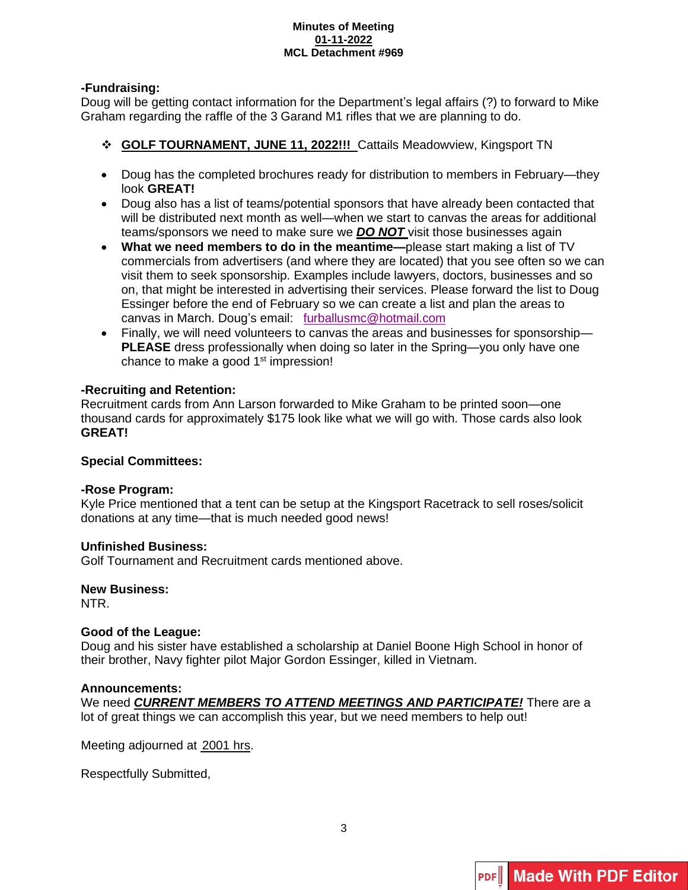#### **Minutes of Meeting 01-11-2022 MCL Detachment #969**

## **-Fundraising:**

Doug will be getting contact information for the Department's legal affairs (?) to forward to Mike Graham regarding the raffle of the 3 Garand M1 rifles that we are planning to do.

- ❖ **GOLF TOURNAMENT, JUNE 11, 2022!!!** Cattails Meadowview, Kingsport TN
- Doug has the completed brochures ready for distribution to members in February—they look **GREAT!**
- Doug also has a list of teams/potential sponsors that have already been contacted that will be distributed next month as well—when we start to canvas the areas for additional teams/sponsors we need to make sure we *DO NOT* visit those businesses again
- **What we need members to do in the meantime—**please start making a list of TV commercials from advertisers (and where they are located) that you see often so we can visit them to seek sponsorship. Examples include lawyers, doctors, businesses and so on, that might be interested in advertising their services. Please forward the list to Doug Essinger before the end of February so we can create a list and plan the areas to canvas in March. Doug's email: [furballusmc@hotmail.com](mailto:furballusmc@hotmail.com)
- Finally, we will need volunteers to canvas the areas and businesses for sponsorship— **PLEASE** dress professionally when doing so later in the Spring—you only have one chance to make a good 1<sup>st</sup> impression!

## **-Recruiting and Retention:**

Recruitment cards from Ann Larson forwarded to Mike Graham to be printed soon—one thousand cards for approximately \$175 look like what we will go with. Those cards also look **GREAT!**

## **Special Committees:**

## **-Rose Program:**

Kyle Price mentioned that a tent can be setup at the Kingsport Racetrack to sell roses/solicit donations at any time—that is much needed good news!

## **Unfinished Business:**

Golf Tournament and Recruitment cards mentioned above.

#### **New Business:**

NTR.

## **Good of the League:**

Doug and his sister have established a scholarship at Daniel Boone High School in honor of their brother, Navy fighter pilot Major Gordon Essinger, killed in Vietnam.

#### **Announcements:**

We need *CURRENT MEMBERS TO ATTEND MEETINGS AND PARTICIPATE!* There are a lot of great things we can accomplish this year, but we need members to help out!

Meeting adjourned at 2001 hrs.

Respectfully Submitted,